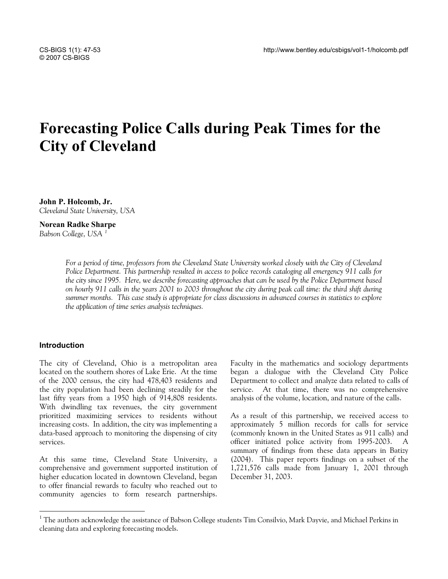# **Forecasting Police Calls during Peak Times for the City of Cleveland**

**John P. Holcomb, Jr.**  *Cleveland State University, USA* 

### **Norean Radke Sharpe**

*Babson College, USA [1](#page-0-0)*

For a period of time, professors from the Cleveland State University worked closely with the City of Cleveland *Police Department. This partnership resulted in access to police records cataloging all emergency 911 calls for the city since 1995. Here, we describe forecasting approaches that can be used by the Police Department based on hourly 911 calls in the years 2001 to 2003 throughout the city during peak call time: the third shift during summer months. This case study is appropriate for class discussions in advanced courses in statistics to explore the application of time series analysis techniques.* 

## **Introduction**

 $\overline{a}$ 

The city of Cleveland, Ohio is a metropolitan area located on the southern shores of Lake Erie. At the time of the 2000 census, the city had 478,403 residents and the city population had been declining steadily for the last fifty years from a 1950 high of 914,808 residents. With dwindling tax revenues, the city government prioritized maximizing services to residents without increasing costs. In addition, the city was implementing a data-based approach to monitoring the dispensing of city services.

At this same time, Cleveland State University, a comprehensive and government supported institution of higher education located in downtown Cleveland, began to offer financial rewards to faculty who reached out to community agencies to form research partnerships. Faculty in the mathematics and sociology departments began a dialogue with the Cleveland City Police Department to collect and analyze data related to calls of service. At that time, there was no comprehensive analysis of the volume, location, and nature of the calls.

As a result of this partnership, we received access to approximately 5 million records for calls for service (commonly known in the United States as 911 calls) and officer initiated police activity from 1995-2003. A summary of findings from these data appears in Batizy (2004). This paper reports findings on a subset of the 1,721,576 calls made from January 1, 2001 through December 31, 2003.

<span id="page-0-0"></span><sup>&</sup>lt;sup>1</sup> The authors acknowledge the assistance of Babson College students Tim Consilvio, Mark Dayvie, and Michael Perkins in cleaning data and exploring forecasting models.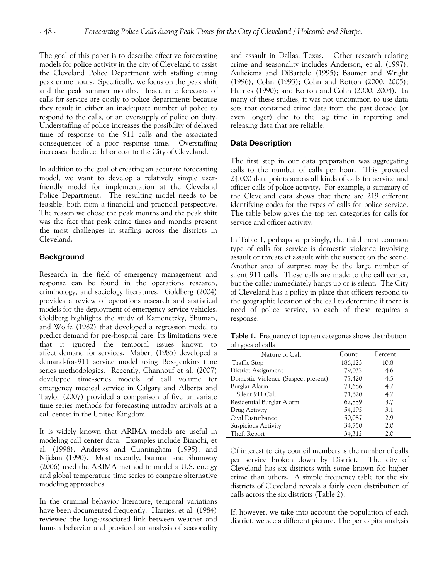The goal of this paper is to describe effective forecasting models for police activity in the city of Cleveland to assist the Cleveland Police Department with staffing during peak crime hours. Specifically, we focus on the peak shift and the peak summer months. Inaccurate forecasts of calls for service are costly to police departments because they result in either an inadequate number of police to respond to the calls, or an oversupply of police on duty. Understaffing of police increases the possibility of delayed time of response to the 911 calls and the associated consequences of a poor response time. Overstaffing increases the direct labor cost to the City of Cleveland.

In addition to the goal of creating an accurate forecasting model, we want to develop a relatively simple userfriendly model for implementation at the Cleveland Police Department. The resulting model needs to be feasible, both from a financial and practical perspective. The reason we chose the peak months and the peak shift was the fact that peak crime times and months present the most challenges in staffing across the districts in Cleveland.

# **Background**

Research in the field of emergency management and response can be found in the operations research, criminology, and sociology literatures. Goldberg (2004) provides a review of operations research and statistical models for the deployment of emergency service vehicles. Goldberg highlights the study of Kamenetzky, Shuman, and Wolfe (1982) that developed a regression model to predict demand for pre-hospital care. Its limitations were that it ignored the temporal issues known to affect demand for services. Mabert (1985) developed a demand-for-911 service model using Box-Jenkins time series methodologies. Recently, Channouf et al. (2007) developed time-series models of call volume for emergency medical service in Calgary and Alberta and Taylor (2007) provided a comparison of five univariate time series methods for forecasting intraday arrivals at a call center in the United Kingdom.

It is widely known that ARIMA models are useful in modeling call center data. Examples include Bianchi, et al. (1998), Andrews and Cunningham (1995), and Nijdam (1990). Most recently, Burman and Shumway (2006) used the ARIMA method to model a U.S. energy and global temperature time series to compare alternative modeling approaches.

In the criminal behavior literature, temporal variations have been documented frequently. Harries, et al. (1984) reviewed the long-associated link between weather and human behavior and provided an analysis of seasonality and assault in Dallas, Texas. Other research relating crime and seasonality includes Anderson, et al. (1997); Auliciems and DiBartolo (1995); Baumer and Wright (1996), Cohn (1993); Cohn and Rotton (2000, 2005); Harries (1990); and Rotton and Cohn (2000, 2004). In many of these studies, it was not uncommon to use data sets that contained crime data from the past decade (or even longer) due to the lag time in reporting and releasing data that are reliable.

# **Data Description**

The first step in our data preparation was aggregating calls to the number of calls per hour. This provided 24,000 data points across all kinds of calls for service and officer calls of police activity. For example, a summary of the Cleveland data shows that there are 219 different identifying codes for the types of calls for police service. The table below gives the top ten categories for calls for service and officer activity.

In Table 1, perhaps surprisingly, the third most common type of calls for service is domestic violence involving assault or threats of assault with the suspect on the scene. Another area of surprise may be the large number of silent 911 calls. These calls are made to the call center, but the caller immediately hangs up or is silent. The City of Cleveland has a policy in place that officers respond to the geographic location of the call to determine if there is need of police service, so each of these requires a response.

**Table 1.** Frequency of top ten categories shows distribution of types of calls

| Nature of Call                      | Count   | Percent |
|-------------------------------------|---------|---------|
| <b>Traffic Stop</b>                 | 186,123 | 10.8    |
| District Assignment                 | 79,032  | 4.6     |
| Domestic Violence (Suspect present) | 77,420  | 4.5     |
| Burglar Alarm                       | 71,686  | 4.2     |
| Silent 911 Call                     | 71,620  | 4.2     |
| Residential Burglar Alarm           | 62,889  | 3.7     |
| Drug Activity                       | 54,195  | 3.1     |
| Civil Disturbance                   | 50,087  | 2.9     |
| Suspicious Activity                 | 34,750  | 2.0     |
| Theft Report                        | 34,312  | 2.0     |

Of interest to city council members is the number of calls per service broken down by District. The city of Cleveland has six districts with some known for higher crime than others. A simple frequency table for the six districts of Cleveland reveals a fairly even distribution of calls across the six districts (Table 2).

If, however, we take into account the population of each district, we see a different picture. The per capita analysis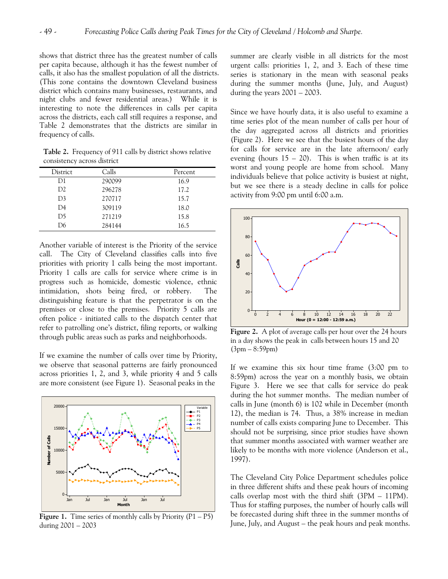shows that district three has the greatest number of calls per capita because, although it has the fewest number of calls, it also has the smallest population of all the districts. (This zone contains the downtown Cleveland business district which contains many businesses, restaurants, and night clubs and fewer residential areas.) While it is interesting to note the differences in calls per capita across the districts, each call still requires a response, and Table 2 demonstrates that the districts are similar in frequency of calls.

**Table 2.** Frequency of 911 calls by district shows relative consistency across district

| District       | Calls  | Percent |
|----------------|--------|---------|
| D1             | 290099 | 16.9    |
| D <sub>2</sub> | 296278 | 17.2    |
| D <sub>3</sub> | 270717 | 15.7    |
| D4             | 309119 | 18.0    |
| D <sub>5</sub> | 271219 | 15.8    |
| D6             | 284144 | 16.5    |

Another variable of interest is the Priority of the service call. The City of Cleveland classifies calls into five priorities with priority 1 calls being the most important. Priority 1 calls are calls for service where crime is in progress such as homicide, domestic violence, ethnic intimidation, shots being fired, or robbery. The distinguishing feature is that the perpetrator is on the premises or close to the premises. Priority 5 calls are often police - initiated calls to the dispatch center that refer to patrolling one's district, filing reports, or walking through public areas such as parks and neighborhoods.

If we examine the number of calls over time by Priority, we observe that seasonal patterns are fairly pronounced across priorities 1, 2, and 3, while priority 4 and 5 calls are more consistent (see Figure 1). Seasonal peaks in the



**Figure 1.** Time series of monthly calls by Priority  $(P1 - P5)$ during 2001 – 2003

summer are clearly visible in all districts for the most urgent calls: priorities 1, 2, and 3. Each of these time series is stationary in the mean with seasonal peaks during the summer months (June, July, and August) during the years  $2001 - 2003$ .

Since we have hourly data, it is also useful to examine a time series plot of the mean number of calls per hour of the day aggregated across all districts and priorities (Figure 2). Here we see that the busiest hours of the day for calls for service are in the late afternoon/ early evening (hours  $15 - 20$ ). This is when traffic is at its worst and young people are home from school. Many individuals believe that police activity is busiest at night, but we see there is a steady decline in calls for police activity from 9:00 pm until 6:00 a.m.



**Figure 2.** A plot of average calls per hour over the 24 hours in a day shows the peak in calls between hours 15 and 20 (3pm – 8:59pm)

If we examine this six hour time frame (3:00 pm to 8:59pm) across the year on a monthly basis, we obtain Figure 3. Here we see that calls for service do peak during the hot summer months. The median number of calls in June (month 6) is 102 while in December (month 12), the median is 74. Thus, a 38% increase in median number of calls exists comparing June to December. This should not be surprising, since prior studies have shown that summer months associated with warmer weather are likely to be months with more violence (Anderson et al., 1997).

The Cleveland City Police Department schedules police in three different shifts and these peak hours of incoming calls overlap most with the third shift (3PM – 11PM). Thus for staffing purposes, the number of hourly calls will be forecasted during shift three in the summer months of June, July, and August – the peak hours and peak months.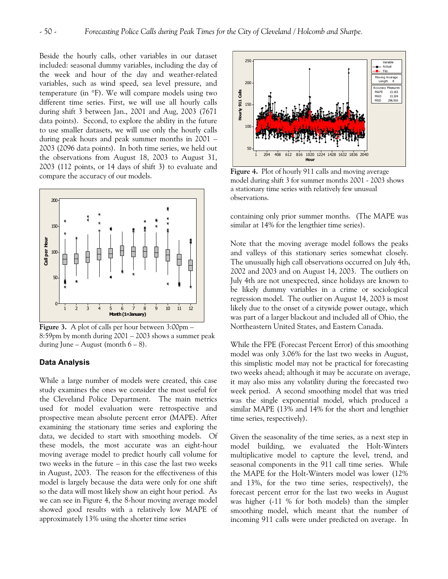Beside the hourly calls, other variables in our dataset included: seasonal dummy variables, including the day of the week and hour of the day and weather-related variables, such as wind speed, sea level pressure, and temperature (in °F). We will compare models using two different time series. First, we will use all hourly calls during shift 3 between Jan., 2001 and Aug, 2003 (7671 data points). Second, to explore the ability in the future to use smaller datasets, we will use only the hourly calls during peak hours and peak summer months in 2001 – 2003 (2096 data points). In both time series, we held out the observations from August 18, 2003 to August 31, 2003 (112 points, or 14 days of shift 3) to evaluate and compare the accuracy of our models.



**Figure 3.** A plot of calls per hour between 3:00pm – 8:59pm by month during 2001 – 2003 shows a summer peak during June – August (month  $6 - 8$ ).

### **Data Analysis**

While a large number of models were created, this case study examines the ones we consider the most useful for the Cleveland Police Department. The main metrics used for model evaluation were retrospective and prospective mean absolute percent error (MAPE). After examining the stationary time series and exploring the data, we decided to start with smoothing models. Of these models, the most accurate was an eight-hour moving average model to predict hourly call volume for two weeks in the future – in this case the last two weeks in August, 2003. The reason for the effectiveness of this model is largely because the data were only for one shift so the data will most likely show an eight hour period. As we can see in Figure 4, the 8-hour moving average model showed good results with a relatively low MAPE of approximately 13% using the shorter time series



**Figure 4.** Plot of hourly 911 calls and moving average model during shift 3 for summer months 2001 - 2003 shows a stationary time series with relatively few unusual observations.

containing only prior summer months. (The MAPE was similar at 14% for the lengthier time series).

Note that the moving average model follows the peaks and valleys of this stationary series somewhat closely. The unusually high call observations occurred on July 4th, 2002 and 2003 and on August 14, 2003. The outliers on July 4th are not unexpected, since holidays are known to be likely dummy variables in a crime or sociological regression model. The outlier on August 14, 2003 is most likely due to the onset of a citywide power outage, which was part of a larger blackout and included all of Ohio, the Northeastern United States, and Eastern Canada.

While the FPE (Forecast Percent Error) of this smoothing model was only 3.06% for the last two weeks in August, this simplistic model may not be practical for forecasting two weeks ahead; although it may be accurate on average, it may also miss any volatility during the forecasted two week period. A second smoothing model that was tried was the single exponential model, which produced a similar MAPE (13% and 14% for the short and lengthier time series, respectively).

Given the seasonality of the time series, as a next step in model building, we evaluated the Holt-Winters multiplicative model to capture the level, trend, and seasonal components in the 911 call time series. While the MAPE for the Holt-Winters model was lower (12% and 13%, for the two time series, respectively), the forecast percent error for the last two weeks in August was higher (-11 % for both models) than the simpler smoothing model, which meant that the number of incoming 911 calls were under predicted on average. In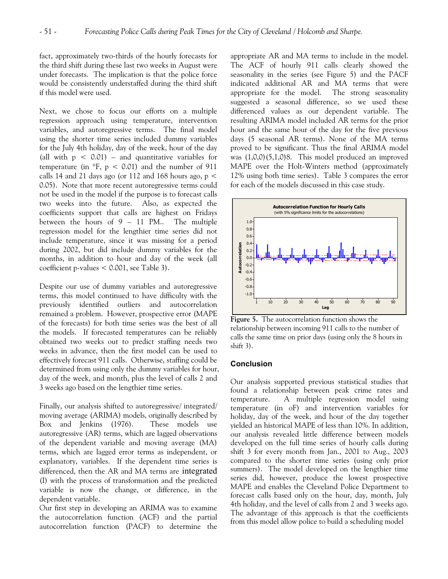fact, approximately two-thirds of the hourly forecasts for the third shift during these last two weeks in August were under forecasts. The implication is that the police force would be consistently understaffed during the third shift if this model were used.

Next, we chose to focus our efforts on a multiple regression approach using temperature, intervention variables, and autoregressive terms. The final model using the shorter time series included dummy variables for the July 4th holiday, day of the week, hour of the day (all with  $p < 0.01$ ) – and quantitative variables for temperature (in  $\textdegree$ F, p < 0.01) and the number of 911 calls 14 and 21 days ago (or 112 and 168 hours ago,  $p <$ 0.05). Note that more recent autoregressive terms could not be used in the model if the purpose is to forecast calls two weeks into the future. Also, as expected the coefficients support that calls are highest on Fridays between the hours of 9 – 11 PM.. The multiple regression model for the lengthier time series did not include temperature, since it was missing for a period during 2002, but did include dummy variables for the months, in addition to hour and day of the week (all coefficient p-values < 0.001, see Table 3).

Despite our use of dummy variables and autoregressive terms, this model continued to have difficulty with the previously identified outliers and autocorrelation remained a problem. However, prospective error (MAPE of the forecasts) for both time series was the best of all the models. If forecasted temperatures can be reliably obtained two weeks out to predict staffing needs two weeks in advance, then the first model can be used to effectively forecast 911 calls. Otherwise, staffing could be determined from using only the dummy variables for hour, day of the week, and month, plus the level of calls 2 and 3 weeks ago based on the lengthier time series.

Finally, our analysis shifted to autoregressive/ integrated/ moving average (ARIMA) models, originally described by Box and Jenkins (1976). These models use autoregressive (AR) terms, which are lagged observations of the dependent variable and moving average (MA) terms, which are lagged error terms as independent, or explanatory, variables. If the dependent time series is differenced, then the AR and MA terms are integrated (I) with the process of transformation and the predicted variable is now the change, or difference, in the dependent variable.

Our first step in developing an ARIMA was to examine the autocorrelation function (ACF) and the partial autocorrelation function (PACF) to determine the appropriate AR and MA terms to include in the model. The ACF of hourly 911 calls clearly showed the seasonality in the series (see Figure 5) and the PACF indicated additional AR and MA terms that were appropriate for the model. The strong seasonality suggested a seasonal difference, so we used these differenced values as our dependent variable. The resulting ARIMA model included AR terms for the prior hour and the same hour of the day for the five previous days (5 seasonal AR terms). None of the MA terms proved to be significant. Thus the final ARIMA model was (1,0,0)(5,1,0)8. This model produced an improved MAPE over the Holt-Winters method (approximately 12% using both time series). Table 3 compares the error for each of the models discussed in this case study.



**Figure 5.** The autocorrelation function shows the relationship between incoming 911 calls to the number of calls the same time on prior days (using only the 8 hours in shift 3).

# **Conclusion**

Our analysis supported previous statistical studies that found a relationship between peak crime rates and temperature. A multiple regression model using temperature (in oF) and intervention variables for holiday, day of the week, and hour of the day together yielded an historical MAPE of less than 10%. In addition, our analysis revealed little difference between models developed on the full time series of hourly calls during shift 3 for every month from Jan., 2001 to Aug., 2003 compared to the shorter time series (using only prior summers). The model developed on the lengthier time series did, however, produce the lowest prospective MAPE and enables the Cleveland Police Department to forecast calls based only on the hour, day, month, July 4th holiday, and the level of calls from 2 and 3 weeks ago. The advantage of this approach is that the coefficients from this model allow police to build a scheduling model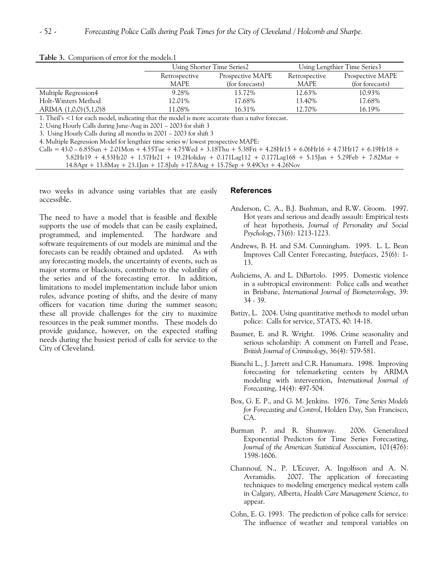| Retrospective |                  |               |                  |
|---------------|------------------|---------------|------------------|
|               | Prospective MAPE | Retrospective | Prospective MAPE |
| MAPE          | (for forecasts)  | <b>MAPE</b>   | (for forecasts)  |
| 9.28%         | 13.72%           | 12.63%        | 10.93%           |
| 12.01%        | 17.68%           | 13.40%        | 17.68%           |
| 1.08%         | 16.31%           | 12.70%        | 16.19%           |
|               | .                |               |                  |

#### **Table 3.** Comparison of error for the models.1

1. Theil's <1 for each model, indicating that the model is more accurate than a naïve forecast.

2. Using Hourly Calls during June-Aug in 2001 – 2003 for shift 3

3. Using Hourly Calls during all months in 2001 – 2003 for shift 3

4. Multiple Regression Model for lengthier time series w/ lowest prospective MAPE:

 $Calls = 43.0 - 6.85Sun + 2.01Mon + 4.55Tue + 4.75Wed + 3.18Thu + 5.38Fri + 4.28Hr15 + 6.06Hr16 + 4.73Hr17 + 6.19Hr18 +$ 5.82Hr19 + 4.53Hr20 + 1.57Hr21 + 19.2Holiday + 0.171Lag112 + 0.177Lag168 + 5.15Jan + 5.29Feb + 7.82Mar + 14.8Apr + 13.8May + 23.1Jun + 17.8July +17.8Aug + 15.7Sep + 9.49Oct + 4.26Nov

two weeks in advance using variables that are easily accessible.

The need to have a model that is feasible and flexible supports the use of models that can be easily explained, programmed, and implemented. The hardware and software requirements of our models are minimal and the forecasts can be readily obtained and updated. As with any forecasting models, the uncertainty of events, such as major storms or blackouts, contribute to the volatility of the series and of the forecasting error. In addition, limitations to model implementation include labor union rules, advance posting of shifts, and the desire of many officers for vacation time during the summer season; these all provide challenges for the city to maximize resources in the peak summer months. These models do provide guidance, however, on the expected staffing needs during the busiest period of calls for service to the City of Cleveland.

### **References**

- Anderson, C. A., B.J. Bushman, and R.W. Groom. 1997. Hot years and serious and deadly assault: Empirical tests of heat hypothesis, *Journal of Personality and Social Psychology*, 73(6): 1213-1223.
- Andrews, B. H. and S.M. Cunningham. 1995. L. L. Bean Improves Call Center Forecasting, *Interfaces*, 25(6): 1- 13.
- Auliciems, A. and L. DiBartolo. 1995. Domestic violence in a subtropical environment: Police calls and weather in Brisbane, *International Journal of Biometeorology*, 39: 34 - 39.
- Batizy, L. 2004. Using quantitative methods to model urban police: Calls for service, *STATS*, 40: 14-18.
- Baumer, E. and R. Wright. 1996. Crime seasonality and serious scholarship: A comment on Farrell and Pease, *British Journal of Criminology*, 36(4): 579-581.
- Bianchi L., J. Jarrett and C.R. Hanumara. 1998. Improving forecasting for telemarketing centers by ARIMA modeling with intervention, *[International Journal of](http://www.ingentaconnect.com/content/els/01692070;jsessionid=cdqnugi1g1im.victoria)  [Forecasting](http://www.ingentaconnect.com/content/els/01692070;jsessionid=cdqnugi1g1im.victoria)*, 14(4): 497-504.
- Box, G. E. P., and G. M. Jenkins. 1976. *Time Series Models for Forecasting and Control*, Holden Day, San Francisco, CA.
- Burman P. and R. Shumway. 2006. Generalized Exponential Predictors for Time Series Forecasting, *Journal of the American Statistical Association*, 101(476): 1598-1606.
- Channouf, N., P. L'Ecuyer, A. Ingolfsson and A. N. Avramidis. 2007. The application of forecasting techniques to modeling emergency medical system calls in Calgary, Alberta, *Health Care Management Science*, to appear.
- Cohn, E. G. 1993. The prediction of police calls for service: The influence of weather and temporal variables on